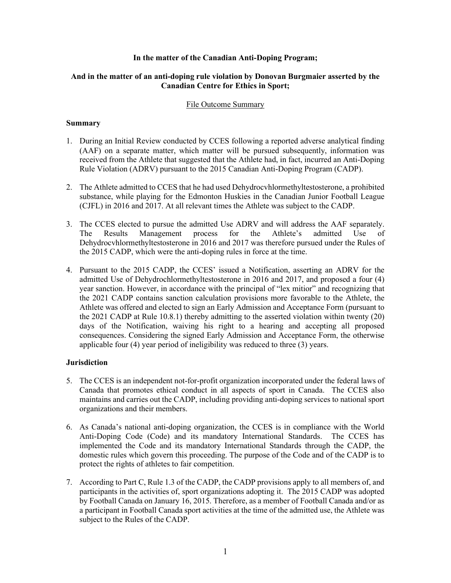### **In the matter of the Canadian Anti-Doping Program;**

# **And in the matter of an anti-doping rule violation by Donovan Burgmaier asserted by the Canadian Centre for Ethics in Sport;**

### File Outcome Summary

#### **Summary**

- 1. During an Initial Review conducted by CCES following a reported adverse analytical finding (AAF) on a separate matter, which matter will be pursued subsequently, information was received from the Athlete that suggested that the Athlete had, in fact, incurred an Anti-Doping Rule Violation (ADRV) pursuant to the 2015 Canadian Anti-Doping Program (CADP).
- 2. The Athlete admitted to CCES that he had used Dehydrocvhlormethyltestosterone, a prohibited substance, while playing for the Edmonton Huskies in the Canadian Junior Football League (CJFL) in 2016 and 2017. At all relevant times the Athlete was subject to the CADP.
- 3. The CCES elected to pursue the admitted Use ADRV and will address the AAF separately. The Results Management process for the Athlete's admitted Use of Dehydrocvhlormethyltestosterone in 2016 and 2017 was therefore pursued under the Rules of the 2015 CADP, which were the anti-doping rules in force at the time.
- 4. Pursuant to the 2015 CADP, the CCES' issued a Notification, asserting an ADRV for the admitted Use of Dehydrochlormethyltestosterone in 2016 and 2017, and proposed a four (4) year sanction. However, in accordance with the principal of "lex mitior" and recognizing that the 2021 CADP contains sanction calculation provisions more favorable to the Athlete, the Athlete was offered and elected to sign an Early Admission and Acceptance Form (pursuant to the 2021 CADP at Rule 10.8.1) thereby admitting to the asserted violation within twenty (20) days of the Notification, waiving his right to a hearing and accepting all proposed consequences. Considering the signed Early Admission and Acceptance Form, the otherwise applicable four (4) year period of ineligibility was reduced to three (3) years.

# **Jurisdiction**

- 5. The CCES is an independent not-for-profit organization incorporated under the federal laws of Canada that promotes ethical conduct in all aspects of sport in Canada. The CCES also maintains and carries out the CADP, including providing anti-doping services to national sport organizations and their members.
- 6. As Canada's national anti-doping organization, the CCES is in compliance with the World Anti-Doping Code (Code) and its mandatory International Standards. The CCES has implemented the Code and its mandatory International Standards through the CADP, the domestic rules which govern this proceeding. The purpose of the Code and of the CADP is to protect the rights of athletes to fair competition.
- 7. According to Part C, Rule 1.3 of the CADP, the CADP provisions apply to all members of, and participants in the activities of, sport organizations adopting it. The 2015 CADP was adopted by Football Canada on January 16, 2015. Therefore, as a member of Football Canada and/or as a participant in Football Canada sport activities at the time of the admitted use, the Athlete was subject to the Rules of the CADP.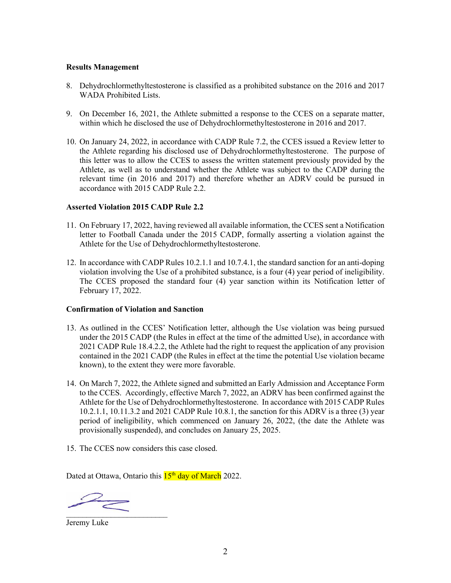### **Results Management**

- 8. Dehydrochlormethyltestosterone is classified as a prohibited substance on the 2016 and 2017 WADA Prohibited Lists.
- 9. On December 16, 2021, the Athlete submitted a response to the CCES on a separate matter, within which he disclosed the use of Dehydrochlormethyltestosterone in 2016 and 2017.
- 10. On January 24, 2022, in accordance with CADP Rule 7.2, the CCES issued a Review letter to the Athlete regarding his disclosed use of Dehydrochlormethyltestosterone. The purpose of this letter was to allow the CCES to assess the written statement previously provided by the Athlete, as well as to understand whether the Athlete was subject to the CADP during the relevant time (in 2016 and 2017) and therefore whether an ADRV could be pursued in accordance with 2015 CADP Rule 2.2.

### **Asserted Violation 2015 CADP Rule 2.2**

- 11. On February 17, 2022, having reviewed all available information, the CCES sent a Notification letter to Football Canada under the 2015 CADP, formally asserting a violation against the Athlete for the Use of Dehydrochlormethyltestosterone.
- 12. In accordance with CADP Rules 10.2.1.1 and 10.7.4.1, the standard sanction for an anti-doping violation involving the Use of a prohibited substance, is a four (4) year period of ineligibility. The CCES proposed the standard four (4) year sanction within its Notification letter of February 17, 2022.

#### **Confirmation of Violation and Sanction**

- 13. As outlined in the CCES' Notification letter, although the Use violation was being pursued under the 2015 CADP (the Rules in effect at the time of the admitted Use), in accordance with 2021 CADP Rule 18.4.2.2, the Athlete had the right to request the application of any provision contained in the 2021 CADP (the Rules in effect at the time the potential Use violation became known), to the extent they were more favorable.
- 14. On March 7, 2022, the Athlete signed and submitted an Early Admission and Acceptance Form to the CCES. Accordingly, effective March 7, 2022, an ADRV has been confirmed against the Athlete for the Use of Dehydrochlormethyltestosterone. In accordance with 2015 CADP Rules 10.2.1.1, 10.11.3.2 and 2021 CADP Rule 10.8.1, the sanction for this ADRV is a three (3) year period of ineligibility, which commenced on January 26, 2022, (the date the Athlete was provisionally suspended), and concludes on January 25, 2025.
- 15. The CCES now considers this case closed.

Dated at Ottawa, Ontario this  $15<sup>th</sup>$  day of March 2022.

 $\overline{\phantom{a}}$ 

Jeremy Luke